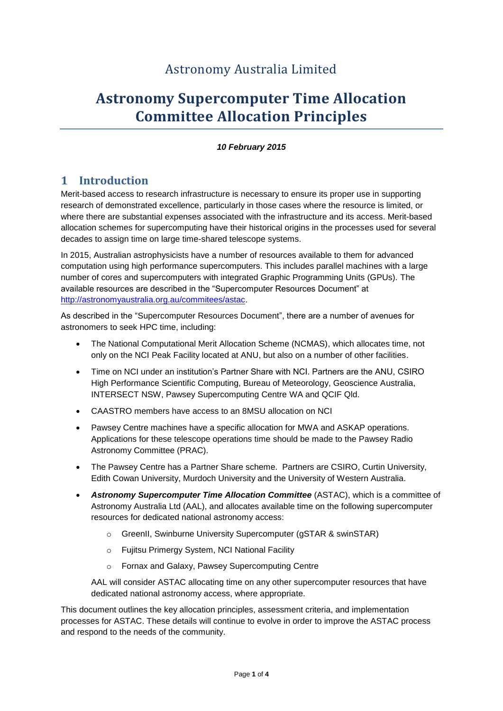# Astronomy Australia Limited

# **Astronomy Supercomputer Time Allocation Committee Allocation Principles**

#### *10 February 2015*

## **1 Introduction**

Merit-based access to research infrastructure is necessary to ensure its proper use in supporting research of demonstrated excellence, particularly in those cases where the resource is limited, or where there are substantial expenses associated with the infrastructure and its access. Merit-based allocation schemes for supercomputing have their historical origins in the processes used for several decades to assign time on large time-shared telescope systems.

In 2015, Australian astrophysicists have a number of resources available to them for advanced computation using high performance supercomputers. This includes parallel machines with a large number of cores and supercomputers with integrated Graphic Programming Units (GPUs). The available resources are described in the "Supercomputer Resources Document" at [http://astronomyaustralia.org.au/commitees/astac.](http://astronomyaustralia.org.au/commitees/astac)

As described in the "Supercomputer Resources Document", there are a number of avenues for astronomers to seek HPC time, including:

- The National Computational Merit Allocation Scheme (NCMAS), which allocates time, not only on the NCI Peak Facility located at ANU, but also on a number of other facilities.
- Time on NCI under an institution's Partner Share with NCI. Partners are the ANU, CSIRO High Performance Scientific Computing, Bureau of Meteorology, Geoscience Australia, INTERSECT NSW, Pawsey Supercomputing Centre WA and QCIF Qld.
- CAASTRO members have access to an 8MSU allocation on NCI
- Pawsey Centre machines have a specific allocation for MWA and ASKAP operations. Applications for these telescope operations time should be made to the Pawsey Radio Astronomy Committee (PRAC).
- The Pawsey Centre has a Partner Share scheme. Partners are CSIRO, Curtin University, Edith Cowan University, Murdoch University and the University of Western Australia.
- *Astronomy Supercomputer Time Allocation Committee* (ASTAC), which is a committee of Astronomy Australia Ltd (AAL), and allocates available time on the following supercomputer resources for dedicated national astronomy access:
	- o GreenII, Swinburne University Supercomputer (gSTAR & swinSTAR)
	- o Fujitsu Primergy System, NCI National Facility
	- o Fornax and Galaxy, Pawsey Supercomputing Centre

AAL will consider ASTAC allocating time on any other supercomputer resources that have dedicated national astronomy access, where appropriate.

This document outlines the key allocation principles, assessment criteria, and implementation processes for ASTAC. These details will continue to evolve in order to improve the ASTAC process and respond to the needs of the community.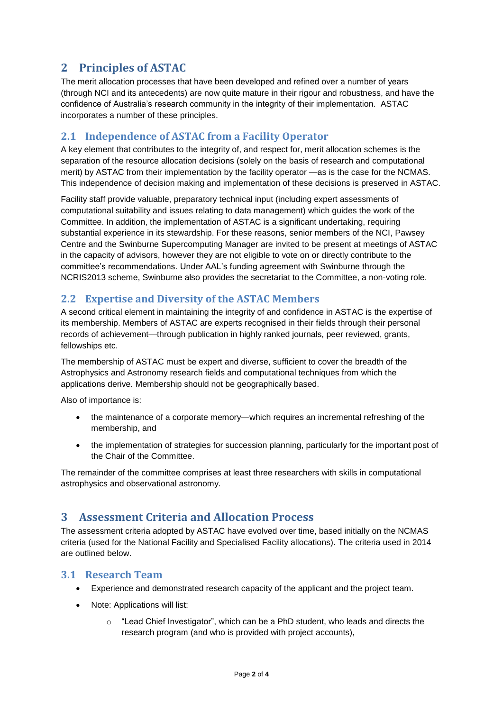## **2 Principles of ASTAC**

The merit allocation processes that have been developed and refined over a number of years (through NCI and its antecedents) are now quite mature in their rigour and robustness, and have the confidence of Australia's research community in the integrity of their implementation. ASTAC incorporates a number of these principles.

### **2.1 Independence of ASTAC from a Facility Operator**

A key element that contributes to the integrity of, and respect for, merit allocation schemes is the separation of the resource allocation decisions (solely on the basis of research and computational merit) by ASTAC from their implementation by the facility operator —as is the case for the NCMAS. This independence of decision making and implementation of these decisions is preserved in ASTAC.

Facility staff provide valuable, preparatory technical input (including expert assessments of computational suitability and issues relating to data management) which guides the work of the Committee. In addition, the implementation of ASTAC is a significant undertaking, requiring substantial experience in its stewardship. For these reasons, senior members of the NCI, Pawsey Centre and the Swinburne Supercomputing Manager are invited to be present at meetings of ASTAC in the capacity of advisors, however they are not eligible to vote on or directly contribute to the committee's recommendations. Under AAL's funding agreement with Swinburne through the NCRIS2013 scheme, Swinburne also provides the secretariat to the Committee, a non-voting role.

#### **2.2 Expertise and Diversity of the ASTAC Members**

A second critical element in maintaining the integrity of and confidence in ASTAC is the expertise of its membership. Members of ASTAC are experts recognised in their fields through their personal records of achievement—through publication in highly ranked journals, peer reviewed, grants, fellowships etc.

The membership of ASTAC must be expert and diverse, sufficient to cover the breadth of the Astrophysics and Astronomy research fields and computational techniques from which the applications derive. Membership should not be geographically based.

Also of importance is:

- the maintenance of a corporate memory—which requires an incremental refreshing of the membership, and
- the implementation of strategies for succession planning, particularly for the important post of the Chair of the Committee.

The remainder of the committee comprises at least three researchers with skills in computational astrophysics and observational astronomy.

## **3 Assessment Criteria and Allocation Process**

The assessment criteria adopted by ASTAC have evolved over time, based initially on the NCMAS criteria (used for the National Facility and Specialised Facility allocations). The criteria used in 2014 are outlined below.

#### **3.1 Research Team**

- Experience and demonstrated research capacity of the applicant and the project team.
- Note: Applications will list:
	- $\circ$  "Lead Chief Investigator", which can be a PhD student, who leads and directs the research program (and who is provided with project accounts),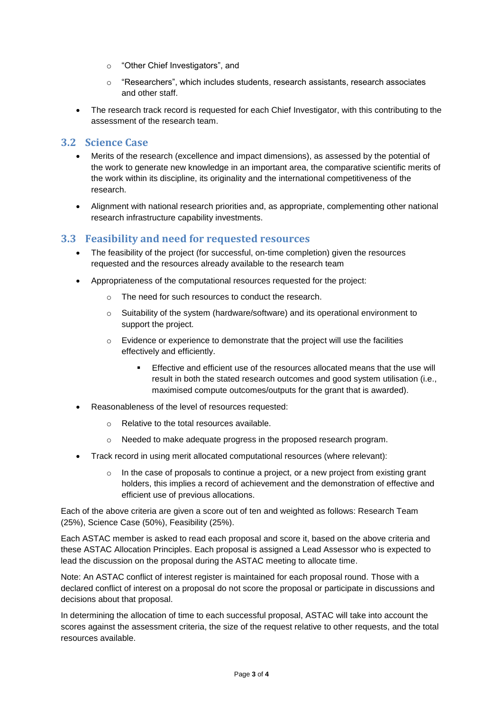- o "Other Chief Investigators", and
- $\circ$  "Researchers", which includes students, research assistants, research associates and other staff.
- The research track record is requested for each Chief Investigator, with this contributing to the assessment of the research team.

#### **3.2 Science Case**

- Merits of the research (excellence and impact dimensions), as assessed by the potential of the work to generate new knowledge in an important area, the comparative scientific merits of the work within its discipline, its originality and the international competitiveness of the research.
- Alignment with national research priorities and, as appropriate, complementing other national research infrastructure capability investments.

#### **3.3 Feasibility and need for requested resources**

- The feasibility of the project (for successful, on-time completion) given the resources requested and the resources already available to the research team
- Appropriateness of the computational resources requested for the project:
	- o The need for such resources to conduct the research.
	- o Suitability of the system (hardware/software) and its operational environment to support the project.
	- $\circ$  Evidence or experience to demonstrate that the project will use the facilities effectively and efficiently.
		- Effective and efficient use of the resources allocated means that the use will result in both the stated research outcomes and good system utilisation (i.e., maximised compute outcomes/outputs for the grant that is awarded).
- Reasonableness of the level of resources requested:
	- o Relative to the total resources available.
	- o Needed to make adequate progress in the proposed research program.
- Track record in using merit allocated computational resources (where relevant):
	- $\circ$  In the case of proposals to continue a project, or a new project from existing grant holders, this implies a record of achievement and the demonstration of effective and efficient use of previous allocations.

Each of the above criteria are given a score out of ten and weighted as follows: Research Team (25%), Science Case (50%), Feasibility (25%).

Each ASTAC member is asked to read each proposal and score it, based on the above criteria and these ASTAC Allocation Principles. Each proposal is assigned a Lead Assessor who is expected to lead the discussion on the proposal during the ASTAC meeting to allocate time.

Note: An ASTAC conflict of interest register is maintained for each proposal round. Those with a declared conflict of interest on a proposal do not score the proposal or participate in discussions and decisions about that proposal.

In determining the allocation of time to each successful proposal, ASTAC will take into account the scores against the assessment criteria, the size of the request relative to other requests, and the total resources available.